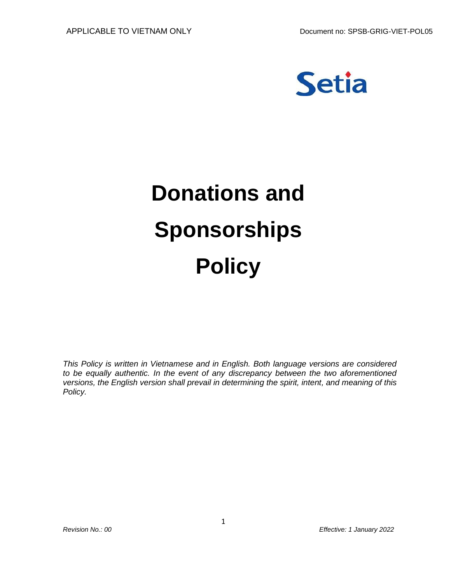

# **Donations and Sponsorships Policy**

*This Policy is written in Vietnamese and in English. Both language versions are considered to be equally authentic. In the event of any discrepancy between the two aforementioned versions, the English version shall prevail in determining the spirit, intent, and meaning of this Policy.*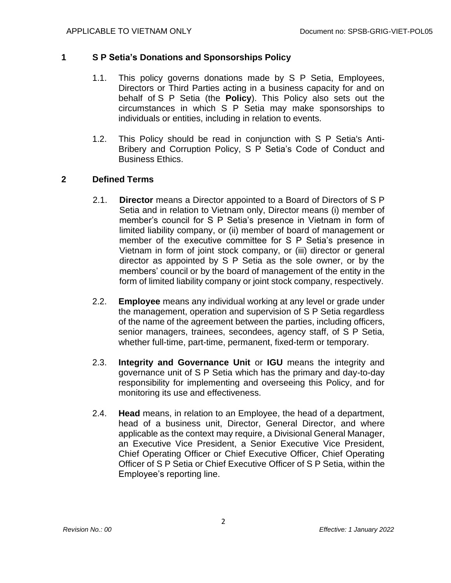#### **1 S P Setia's Donations and Sponsorships Policy**

- 1.1. This policy governs donations made by S P Setia, Employees, Directors or Third Parties acting in a business capacity for and on behalf of S P Setia (the **Policy**). This Policy also sets out the circumstances in which S P Setia may make sponsorships to individuals or entities, including in relation to events.
- 1.2. This Policy should be read in conjunction with S P Setia's Anti-Bribery and Corruption Policy, S P Setia's Code of Conduct and Business Ethics.

#### **2 Defined Terms**

- 2.1. **Director** means a Director appointed to a Board of Directors of S P Setia and in relation to Vietnam only, Director means (i) member of member's council for S P Setia's presence in Vietnam in form of limited liability company, or (ii) member of board of management or member of the executive committee for S P Setia's presence in Vietnam in form of joint stock company, or (iii) director or general director as appointed by S P Setia as the sole owner, or by the members' council or by the board of management of the entity in the form of limited liability company or joint stock company, respectively.
- 2.2. **Employee** means any individual working at any level or grade under the management, operation and supervision of S P Setia regardless of the name of the agreement between the parties, including officers, senior managers, trainees, secondees, agency staff, of S P Setia, whether full-time, part-time, permanent, fixed-term or temporary.
- 2.3. **Integrity and Governance Unit** or **IGU** means the integrity and governance unit of S P Setia which has the primary and day-to-day responsibility for implementing and overseeing this Policy, and for monitoring its use and effectiveness.
- 2.4. **Head** means, in relation to an Employee, the head of a department, head of a business unit, Director, General Director, and where applicable as the context may require, a Divisional General Manager, an Executive Vice President, a Senior Executive Vice President, Chief Operating Officer or Chief Executive Officer, Chief Operating Officer of S P Setia or Chief Executive Officer of S P Setia, within the Employee's reporting line.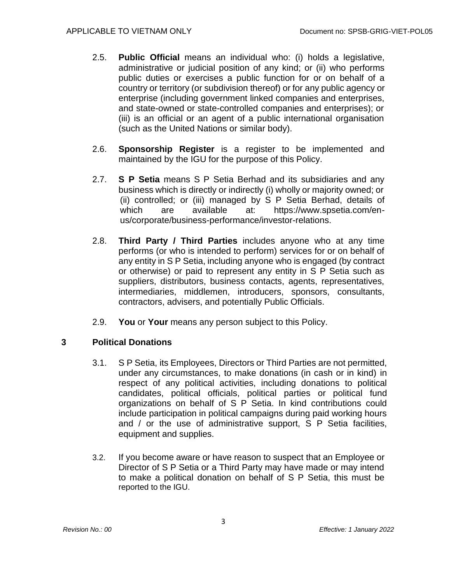- 2.5. **Public Official** means an individual who: (i) holds a legislative, administrative or judicial position of any kind; or (ii) who performs public duties or exercises a public function for or on behalf of a country or territory (or subdivision thereof) or for any public agency or enterprise (including government linked companies and enterprises, and state-owned or state-controlled companies and enterprises); or (iii) is an official or an agent of a public international organisation (such as the United Nations or similar body).
- 2.6. **Sponsorship Register** is a register to be implemented and maintained by the IGU for the purpose of this Policy.
- 2.7. **S P Setia** means S P Setia Berhad and its subsidiaries and any business which is directly or indirectly (i) wholly or majority owned; or (ii) controlled; or (iii) managed by S P Setia Berhad, details of which are available at: https://www.spsetia.com/enus/corporate/business-performance/investor-relations.
- 2.8. **Third Party / Third Parties** includes anyone who at any time performs (or who is intended to perform) services for or on behalf of any entity in S P Setia, including anyone who is engaged (by contract or otherwise) or paid to represent any entity in S P Setia such as suppliers, distributors, business contacts, agents, representatives, intermediaries, middlemen, introducers, sponsors, consultants, contractors, advisers, and potentially Public Officials.
- 2.9. **You** or **Your** means any person subject to this Policy.

### **3 Political Donations**

- 3.1. S P Setia, its Employees, Directors or Third Parties are not permitted, under any circumstances, to make donations (in cash or in kind) in respect of any political activities, including donations to political candidates, political officials, political parties or political fund organizations on behalf of S P Setia. In kind contributions could include participation in political campaigns during paid working hours and / or the use of administrative support, S P Setia facilities, equipment and supplies.
- 3.2. If you become aware or have reason to suspect that an Employee or Director of S P Setia or a Third Party may have made or may intend to make a political donation on behalf of S P Setia, this must be reported to the IGU.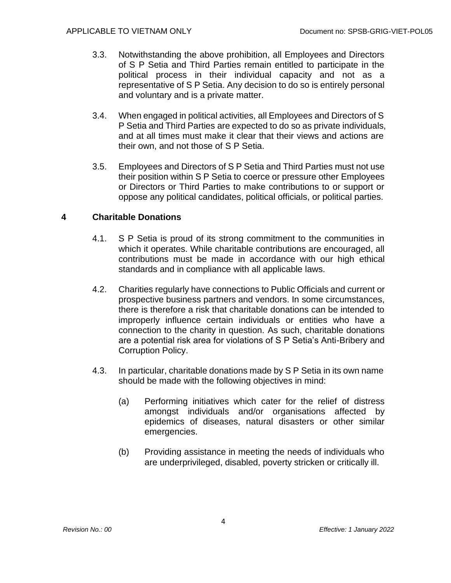- 3.3. Notwithstanding the above prohibition, all Employees and Directors of S P Setia and Third Parties remain entitled to participate in the political process in their individual capacity and not as a representative of S P Setia. Any decision to do so is entirely personal and voluntary and is a private matter.
- 3.4. When engaged in political activities, all Employees and Directors of S P Setia and Third Parties are expected to do so as private individuals, and at all times must make it clear that their views and actions are their own, and not those of S P Setia.
- 3.5. Employees and Directors of S P Setia and Third Parties must not use their position within S P Setia to coerce or pressure other Employees or Directors or Third Parties to make contributions to or support or oppose any political candidates, political officials, or political parties.

### **4 Charitable Donations**

- 4.1. S P Setia is proud of its strong commitment to the communities in which it operates. While charitable contributions are encouraged, all contributions must be made in accordance with our high ethical standards and in compliance with all applicable laws.
- 4.2. Charities regularly have connections to Public Officials and current or prospective business partners and vendors. In some circumstances, there is therefore a risk that charitable donations can be intended to improperly influence certain individuals or entities who have a connection to the charity in question. As such, charitable donations are a potential risk area for violations of S P Setia's Anti-Bribery and Corruption Policy.
- 4.3. In particular, charitable donations made by S P Setia in its own name should be made with the following objectives in mind:
	- (a) Performing initiatives which cater for the relief of distress amongst individuals and/or organisations affected by epidemics of diseases, natural disasters or other similar emergencies.
	- (b) Providing assistance in meeting the needs of individuals who are underprivileged, disabled, poverty stricken or critically ill.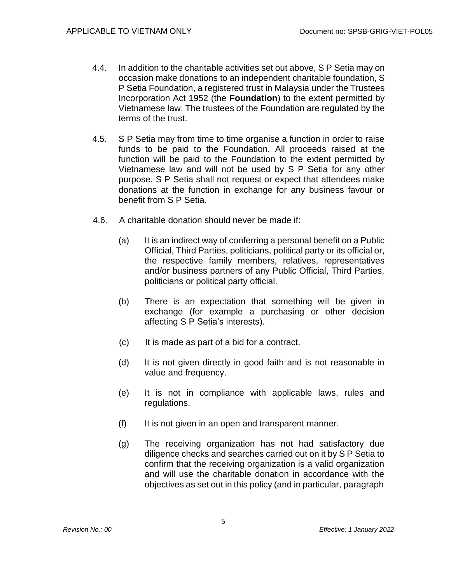- 4.4. In addition to the charitable activities set out above, S P Setia may on occasion make donations to an independent charitable foundation, S P Setia Foundation, a registered trust in Malaysia under the Trustees Incorporation Act 1952 (the **Foundation**) to the extent permitted by Vietnamese law. The trustees of the Foundation are regulated by the terms of the trust.
- 4.5. S P Setia may from time to time organise a function in order to raise funds to be paid to the Foundation. All proceeds raised at the function will be paid to the Foundation to the extent permitted by Vietnamese law and will not be used by S P Setia for any other purpose. S P Setia shall not request or expect that attendees make donations at the function in exchange for any business favour or benefit from S P Setia.
- 4.6. A charitable donation should never be made if:
	- (a) It is an indirect way of conferring a personal benefit on a Public Official, Third Parties, politicians, political party or its official or, the respective family members, relatives, representatives and/or business partners of any Public Official, Third Parties, politicians or political party official.
	- (b) There is an expectation that something will be given in exchange (for example a purchasing or other decision affecting S P Setia's interests).
	- (c) It is made as part of a bid for a contract.
	- (d) It is not given directly in good faith and is not reasonable in value and frequency.
	- (e) It is not in compliance with applicable laws, rules and regulations.
	- (f) It is not given in an open and transparent manner.
	- (g) The receiving organization has not had satisfactory due diligence checks and searches carried out on it by S P Setia to confirm that the receiving organization is a valid organization and will use the charitable donation in accordance with the objectives as set out in this policy (and in particular, paragraph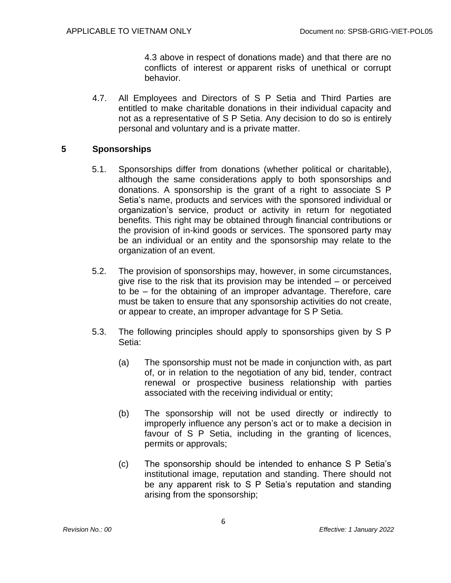4.3 above in respect of donations made) and that there are no conflicts of interest or apparent risks of unethical or corrupt behavior.

4.7. All Employees and Directors of S P Setia and Third Parties are entitled to make charitable donations in their individual capacity and not as a representative of S P Setia. Any decision to do so is entirely personal and voluntary and is a private matter.

### **5 Sponsorships**

- 5.1. Sponsorships differ from donations (whether political or charitable), although the same considerations apply to both sponsorships and donations. A sponsorship is the grant of a right to associate S P Setia's name, products and services with the sponsored individual or organization's service, product or activity in return for negotiated benefits. This right may be obtained through financial contributions or the provision of in-kind goods or services. The sponsored party may be an individual or an entity and the sponsorship may relate to the organization of an event.
- 5.2. The provision of sponsorships may, however, in some circumstances, give rise to the risk that its provision may be intended – or perceived to be – for the obtaining of an improper advantage. Therefore, care must be taken to ensure that any sponsorship activities do not create, or appear to create, an improper advantage for S P Setia.
- 5.3. The following principles should apply to sponsorships given by S P Setia:
	- (a) The sponsorship must not be made in conjunction with, as part of, or in relation to the negotiation of any bid, tender, contract renewal or prospective business relationship with parties associated with the receiving individual or entity;
	- (b) The sponsorship will not be used directly or indirectly to improperly influence any person's act or to make a decision in favour of S P Setia, including in the granting of licences, permits or approvals;
	- (c) The sponsorship should be intended to enhance S P Setia's institutional image, reputation and standing. There should not be any apparent risk to S P Setia's reputation and standing arising from the sponsorship;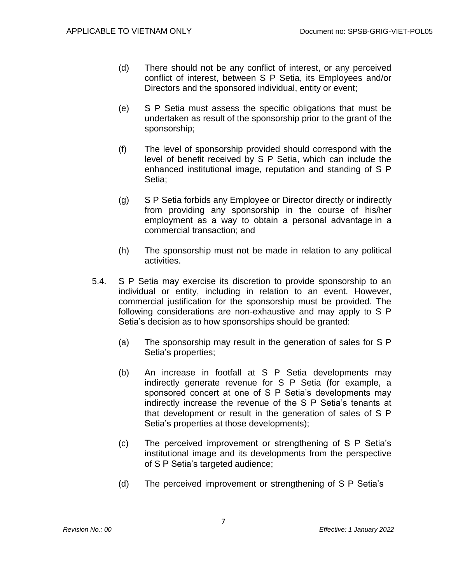- (d) There should not be any conflict of interest, or any perceived conflict of interest, between S P Setia, its Employees and/or Directors and the sponsored individual, entity or event;
- (e) S P Setia must assess the specific obligations that must be undertaken as result of the sponsorship prior to the grant of the sponsorship;
- (f) The level of sponsorship provided should correspond with the level of benefit received by S P Setia, which can include the enhanced institutional image, reputation and standing of S P Setia;
- (g) S P Setia forbids any Employee or Director directly or indirectly from providing any sponsorship in the course of his/her employment as a way to obtain a personal advantage in a commercial transaction; and
- (h) The sponsorship must not be made in relation to any political activities.
- 5.4. S P Setia may exercise its discretion to provide sponsorship to an individual or entity, including in relation to an event. However, commercial justification for the sponsorship must be provided. The following considerations are non-exhaustive and may apply to S P Setia's decision as to how sponsorships should be granted:
	- (a) The sponsorship may result in the generation of sales for S P Setia's properties;
	- (b) An increase in footfall at S P Setia developments may indirectly generate revenue for S P Setia (for example, a sponsored concert at one of S P Setia's developments may indirectly increase the revenue of the S P Setia's tenants at that development or result in the generation of sales of S P Setia's properties at those developments);
	- (c) The perceived improvement or strengthening of S P Setia's institutional image and its developments from the perspective of S P Setia's targeted audience;
	- (d) The perceived improvement or strengthening of S P Setia's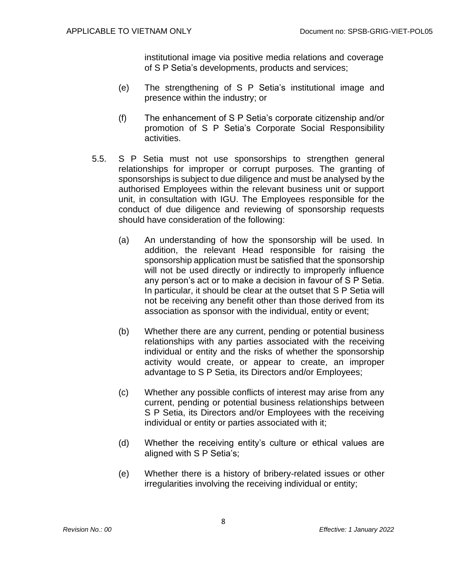institutional image via positive media relations and coverage of S P Setia's developments, products and services;

- (e) The strengthening of S P Setia's institutional image and presence within the industry; or
- (f) The enhancement of S P Setia's corporate citizenship and/or promotion of S P Setia's Corporate Social Responsibility activities.
- 5.5. S P Setia must not use sponsorships to strengthen general relationships for improper or corrupt purposes. The granting of sponsorships is subject to due diligence and must be analysed by the authorised Employees within the relevant business unit or support unit, in consultation with IGU. The Employees responsible for the conduct of due diligence and reviewing of sponsorship requests should have consideration of the following:
	- (a) An understanding of how the sponsorship will be used. In addition, the relevant Head responsible for raising the sponsorship application must be satisfied that the sponsorship will not be used directly or indirectly to improperly influence any person's act or to make a decision in favour of S P Setia. In particular, it should be clear at the outset that S P Setia will not be receiving any benefit other than those derived from its association as sponsor with the individual, entity or event;
	- (b) Whether there are any current, pending or potential business relationships with any parties associated with the receiving individual or entity and the risks of whether the sponsorship activity would create, or appear to create, an improper advantage to S P Setia, its Directors and/or Employees;
	- (c) Whether any possible conflicts of interest may arise from any current, pending or potential business relationships between S P Setia, its Directors and/or Employees with the receiving individual or entity or parties associated with it;
	- (d) Whether the receiving entity's culture or ethical values are aligned with S P Setia's;
	- (e) Whether there is a history of bribery-related issues or other irregularities involving the receiving individual or entity;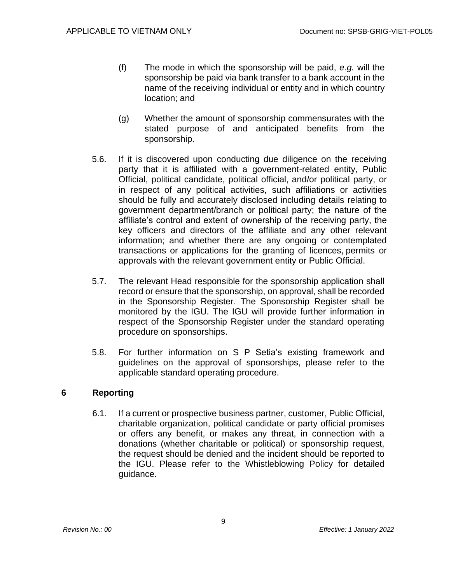- (f) The mode in which the sponsorship will be paid, *e.g.* will the sponsorship be paid via bank transfer to a bank account in the name of the receiving individual or entity and in which country location; and
- (g) Whether the amount of sponsorship commensurates with the stated purpose of and anticipated benefits from the sponsorship.
- 5.6. If it is discovered upon conducting due diligence on the receiving party that it is affiliated with a government-related entity, Public Official, political candidate, political official, and/or political party, or in respect of any political activities, such affiliations or activities should be fully and accurately disclosed including details relating to government department/branch or political party; the nature of the affiliate's control and extent of ownership of the receiving party, the key officers and directors of the affiliate and any other relevant information; and whether there are any ongoing or contemplated transactions or applications for the granting of licences, permits or approvals with the relevant government entity or Public Official.
- 5.7. The relevant Head responsible for the sponsorship application shall record or ensure that the sponsorship, on approval, shall be recorded in the Sponsorship Register. The Sponsorship Register shall be monitored by the IGU. The IGU will provide further information in respect of the Sponsorship Register under the standard operating procedure on sponsorships.
- 5.8. For further information on S P Setia's existing framework and guidelines on the approval of sponsorships, please refer to the applicable standard operating procedure.

### **6 Reporting**

6.1. If a current or prospective business partner, customer, Public Official, charitable organization, political candidate or party official promises or offers any benefit, or makes any threat, in connection with a donations (whether charitable or political) or sponsorship request, the request should be denied and the incident should be reported to the IGU. Please refer to the Whistleblowing Policy for detailed guidance.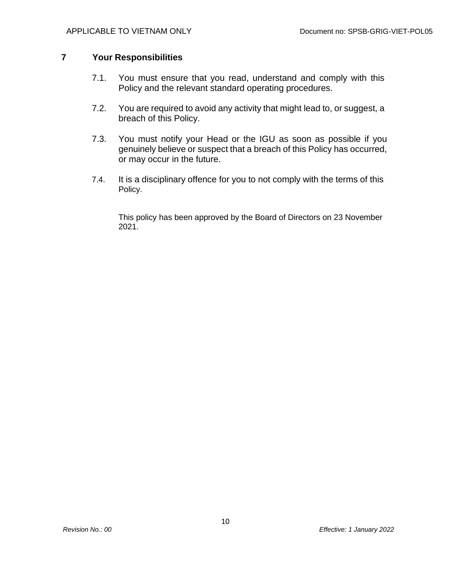### **7 Your Responsibilities**

- 7.1. You must ensure that you read, understand and comply with this Policy and the relevant standard operating procedures.
- 7.2. You are required to avoid any activity that might lead to, or suggest, a breach of this Policy.
- 7.3. You must notify your Head or the IGU as soon as possible if you genuinely believe or suspect that a breach of this Policy has occurred, or may occur in the future.
- 7.4. It is a disciplinary offence for you to not comply with the terms of this Policy.

This policy has been approved by the Board of Directors on 23 November 2021.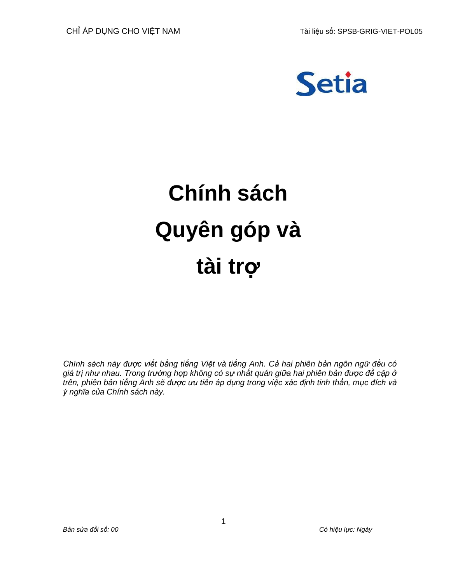

# **Chính sách Quyên góp và tài trợ**

*Chính sách này được viết bằng tiếng Việt và tiếng Anh. Cả hai phiên bản ngôn ngữ đều có giá trị như nhau. Trong trường hợp không có sự nhất quán giữa hai phiên bản được đề cập ở trên, phiên bản tiếng Anh sẽ được ưu tiên áp dụng trong việc xác định tinh thần, mục đích và ý nghĩa của Chính sách này.*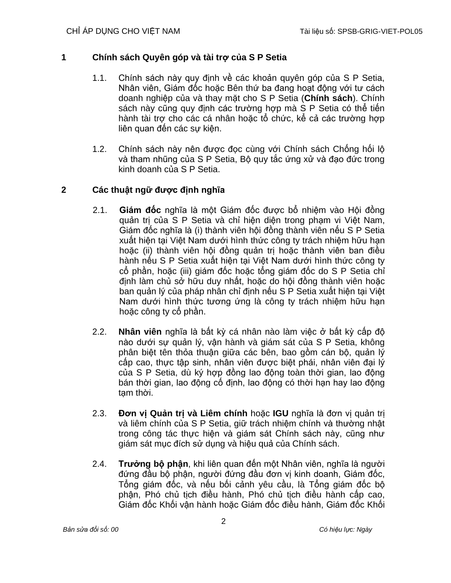# **1 Chính sách Quyên góp và tài trợ của S P Setia**

- 1.1. Chính sách này quy định về các khoản quyên góp của S P Setia, Nhân viên, Giám đốc hoặc Bên thứ ba đang hoạt động với tư cách doanh nghiệp của và thay mặt cho S P Setia (**Chính sách**). Chính sách này cũng quy định các trường hợp mà S P Setia có thể tiến hành tài trợ cho các cá nhân hoặc tổ chức, kể cả các trường hợp liên quan đến các sự kiện.
- 1.2. Chính sách này nên được đọc cùng với Chính sách Chống hối lộ và tham nhũng của S P Setia, Bộ quy tắc ứng xử và đạo đức trong kinh doanh của S P Setia.

# **2 Các thuật ngữ được định nghĩa**

- 2.1. **Giám đốc** nghĩa là một Giám đốc được bổ nhiệm vào Hội đồng quản trị của S P Setia và chỉ hiện diện trong phạm vi Việt Nam, Giám đốc nghĩa là (i) thành viên hội đồng thành viên nếu S P Setia xuất hiện tại Việt Nam dưới hình thức công ty trách nhiệm hữu hạn hoặc (ii) thành viên hội đồng quản trị hoặc thành viên ban điều hành nếu S P Setia xuất hiện tại Việt Nam dưới hình thức công ty cổ phần, hoặc (iii) giám đốc hoặc tổng giám đốc do S P Setia chỉ định làm chủ sở hữu duy nhất, hoặc do hội đồng thành viên hoặc ban quản lý của pháp nhân chỉ định nếu S P Setia xuất hiện tại Việt Nam dưới hình thức tương ứng là công ty trách nhiệm hữu hạn hoặc công ty cổ phần.
- 2.2. **Nhân viên** nghĩa là bất kỳ cá nhân nào làm việc ở bất kỳ cấp độ nào dưới sự quản lý, vận hành và giám sát của S P Setia, không phân biệt tên thỏa thuận giữa các bên, bao gồm cán bộ, quản lý cấp cao, thực tập sinh, nhân viên được biệt phái, nhân viên đại lý của S P Setia, dù ký hợp đồng lao động toàn thời gian, lao động bán thời gian, lao động cố định, lao động có thời hạn hay lao động tạm thời.
- 2.3. **Đơn vị Quản trị và Liêm chính** hoặc **IGU** nghĩa là đơn vị quản trị và liêm chính của S P Setia, giữ trách nhiệm chính và thường nhật trong công tác thực hiện và giám sát Chính sách này, cũng như giám sát mục đích sử dụng và hiệu quả của Chính sách.
- 2.4. **Trưởng bộ phận**, khi liên quan đến một Nhân viên, nghĩa là người đứng đầu bộ phận, người đứng đầu đơn vị kinh doanh, Giám đốc, Tổng giám đốc, và nếu bối cảnh yêu cầu, là Tổng giám đốc bộ phận, Phó chủ tịch điều hành, Phó chủ tịch điều hành cấp cao, Giám đốc Khối vận hành hoặc Giám đốc điều hành, Giám đốc Khối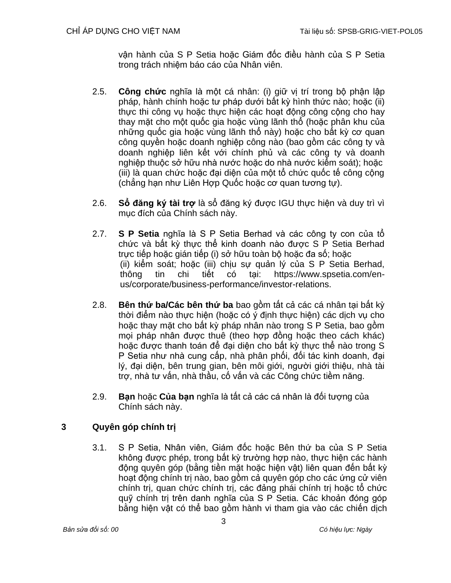vận hành của S P Setia hoặc Giám đốc điều hành của S P Setia trong trách nhiệm báo cáo của Nhân viên.

- 2.5. **Công chức** nghĩa là một cá nhân: (i) giữ vị trí trong bộ phận lập pháp, hành chính hoặc tư pháp dưới bất kỳ hình thức nào; hoặc (ii) thực thi công vụ hoặc thực hiện các hoạt động công công cho hay thay mặt cho một quốc gia hoặc vùng lãnh thổ (hoặc phân khu của những quốc gia hoặc vùng lãnh thổ này) hoặc cho bất kỳ cơ quan công quyền hoặc doanh nghiệp công nào (bao gồm các công ty và doanh nghiệp liên kết với chính phủ và các công ty và doanh nghiệp thuộc sở hữu nhà nước hoặc do nhà nước kiểm soát); hoặc (iii) là quan chức hoặc đại diện của một tổ chức quốc tế công cộng (chẳng hạn như Liên Hợp Quốc hoặc cơ quan tương tự).
- 2.6. **Sổ đăng ký tài trợ** là sổ đăng ký được IGU thực hiện và duy trì vì mục đích của Chính sách này.
- 2.7. **S P Setia** nghĩa là S P Setia Berhad và các công ty con của tổ chức và bất kỳ thực thể kinh doanh nào được S P Setia Berhad trực tiếp hoặc gián tiếp (i) sở hữu toàn bộ hoặc đa số; hoặc (ii) kiểm soát; hoặc (iii) chịu sự quản lý của S P Setia Berhad, thông tin chi tiết có tại: https://www.spsetia.com/enus/corporate/business-performance/investor-relations.
- 2.8. **Bên thứ ba/Các bên thứ ba** bao gồm tất cả các cá nhân tại bất kỳ thời điểm nào thực hiện (hoặc có ý định thực hiện) các dịch vụ cho hoặc thay mặt cho bất kỳ pháp nhân nào trong S P Setia, bao gồm mọi pháp nhân được thuê (theo hợp đồng hoặc theo cách khác) hoặc được thanh toán để đại diện cho bất kỳ thực thể nào trong S P Setia như nhà cung cấp, nhà phân phối, đối tác kinh doanh, đại lý, đại diện, bên trung gian, bên môi giới, người giới thiệu, nhà tài trợ, nhà tư vấn, nhà thầu, cố vấn và các Công chức tiềm năng.
- 2.9. **Bạn** hoặc **Của bạn** nghĩa là tất cả các cá nhân là đối tượng của Chính sách này.

# **3 Quyên góp chính trị**

3.1. S P Setia, Nhân viên, Giám đốc hoặc Bên thứ ba của S P Setia không được phép, trong bất kỳ trường hợp nào, thực hiện các hành động quyên góp (bằng tiền mặt hoặc hiện vật) liên quan đến bất kỳ hoạt động chính trị nào, bao gồm cả quyên góp cho các ứng cử viên chính trị, quan chức chính trị, các đảng phái chính trị hoặc tổ chức quỹ chính trị trên danh nghĩa của S P Setia. Các khoản đóng góp bằng hiện vật có thể bao gồm hành vi tham gia vào các chiến dịch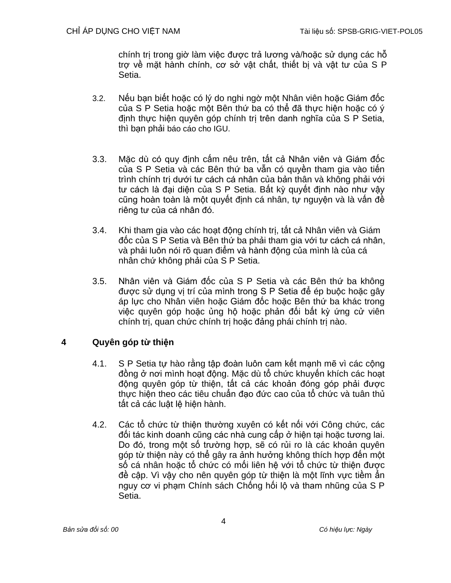chính trị trong giờ làm việc được trả lương và/hoặc sử dụng các hỗ trợ về mặt hành chính, cơ sở vật chất, thiết bị và vật tư của S P Setia.

- 3.2. Nếu bạn biết hoặc có lý do nghi ngờ một Nhân viên hoặc Giám đốc của S P Setia hoặc một Bên thứ ba có thể đã thực hiện hoặc có ý định thực hiện quyên góp chính trị trên danh nghĩa của S P Setia, thì bạn phải báo cáo cho IGU.
- 3.3. Mặc dù có quy định cấm nêu trên, tất cả Nhân viên và Giám đốc của S P Setia và các Bên thứ ba vẫn có quyền tham gia vào tiến trình chính trị dưới tư cách cá nhân của bản thân và không phải với tư cách là đại diện của S P Setia. Bất kỳ quyết định nào như vậy cũng hoàn toàn là một quyết định cá nhân, tự nguyện và là vấn đề riêng tư của cá nhân đó.
- 3.4. Khi tham gia vào các hoạt động chính trị, tất cả Nhân viên và Giám đốc của S P Setia và Bên thứ ba phải tham gia với tư cách cá nhân, và phải luôn nói rõ quan điểm và hành động của mình là của cá nhân chứ không phải của S P Setia.
- 3.5. Nhân viên và Giám đốc của S P Setia và các Bên thứ ba không được sử dụng vị trí của mình trong S P Setia để ép buộc hoặc gây áp lực cho Nhân viên hoặc Giám đốc hoặc Bên thứ ba khác trong việc quyên góp hoặc ủng hộ hoặc phản đối bất kỳ ứng cử viên chính trị, quan chức chính trị hoặc đảng phái chính trị nào.

# **4 Quyên góp từ thiện**

- 4.1. S P Setia tự hào rằng tập đoàn luôn cam kết mạnh mẽ vì các cộng đồng ở nơi mình hoạt động. Mặc dù tổ chức khuyến khích các hoạt động quyên góp từ thiện, tất cả các khoản đóng góp phải được thực hiện theo các tiêu chuẩn đạo đức cao của tổ chức và tuân thủ tất cả các luật lệ hiện hành.
- 4.2. Các tổ chức từ thiện thường xuyên có kết nối với Công chức, các đối tác kinh doanh cũng các nhà cung cấp ở hiện tại hoặc tương lai. Do đó, trong một số trường hợp, sẽ có rủi ro là các khoản quyên góp từ thiện này có thể gây ra ảnh hưởng không thích hợp đến một số cá nhân hoặc tổ chức có mối liên hệ với tổ chức từ thiện được đề cập. Vì vậy cho nên quyên góp từ thiện là một lĩnh vực tiềm ẩn nguy cơ vi phạm Chính sách Chống hối lộ và tham nhũng của S P Setia.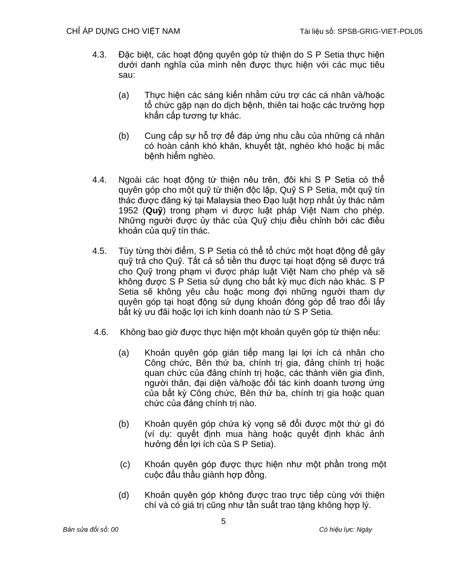- 4.3. Đặc biệt, các hoạt động quyên góp từ thiên do S P Setia thực hiện dưới danh nghĩa của mình nên được thực hiện với các mục tiêu sau:
	- (a) Thực hiện các sáng kiến nhằm cứu trợ các cá nhân và/hoặc tổ chức gặp nạn do dịch bệnh, thiên tai hoặc các trường hợp khẩn cấp tương tự khác.
	- (b) Cung cấp sự hỗ trợ để đáp ứng nhu cầu của những cá nhân có hoàn cảnh khó khăn, khuyết tật, nghèo khó hoặc bị mắc bệnh hiểm nghèo.
- 4.4. Ngoài các hoạt động từ thiện nêu trên, đôi khi S P Setia có thể quyên góp cho một quỹ từ thiện độc lập, Quỹ S P Setia, một quỹ tín thác được đăng ký tại Malaysia theo Đạo luật hợp nhất ủy thác năm 1952 (**Quỹ**) trong phạm vi được luật pháp Việt Nam cho phép. Những người được ủy thác của Quỹ chịu điều chỉnh bởi các điều khoản của quỹ tín thác.
- 4.5. Tùy từng thời điểm, S P Setia có thể tổ chức một hoạt động để gây quỹ trả cho Quỹ. Tất cả số tiền thu được tại hoạt động sẽ được trả cho Quỹ trong phạm vi được pháp luật Việt Nam cho phép và sẽ không được S P Setia sử dụng cho bất kỳ mục đích nào khác. S P Setia sẽ không yêu cầu hoặc mong đơi những người tham dư quyên góp tại hoạt động sử dụng khoản đóng góp để trao đổi lấy bất kỳ ưu đãi hoặc lợi ích kinh doanh nào từ S P Setia.
- 4.6. Không bao giờ được thực hiện một khoản quyên góp từ thiện nếu:
	- (a) Khoản quyên góp gián tiếp mang lại lợi ích cá nhân cho Công chức, Bên thứ ba, chính trị gia, đảng chính trị hoặc quan chức của đảng chính trị hoặc, các thành viên gia đình, người thân, đại diện và/hoặc đối tác kinh doanh tương ứng của bất kỳ Công chức, Bên thứ ba, chính trị gia hoặc quan chức của đảng chính trị nào.
	- (b) Khoản quyên góp chứa kỳ vọng sẽ đổi được một thứ gì đó (ví dụ: quyết định mua hàng hoặc quyết định khác ảnh hưởng đến lợi ích của S P Setia).
	- (c) Khoản quyên góp được thực hiện như một phần trong một cuộc đấu thầu giành hợp đồng.
	- (d) Khoản quyên góp không được trao trực tiếp cùng với thiện chí và có giá trị cũng như tần suất trao tăng không hợp lý.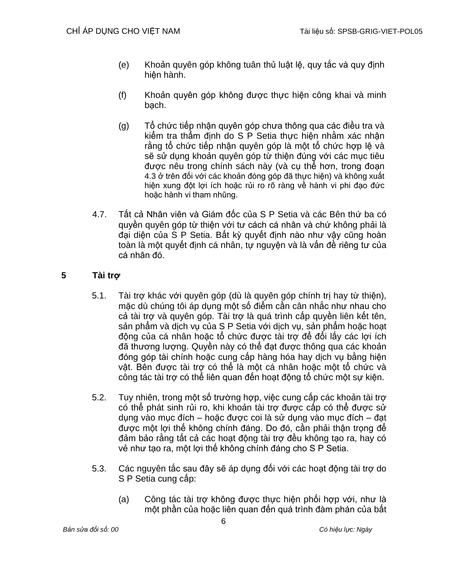- (e) Khoản quyên góp không tuân thủ luật lệ, quy tắc và quy định hiện hành.
- (f) Khoản quyên góp không được thực hiện công khai và minh bạch.
- (g) Tổ chức tiếp nhận quyên góp chưa thông qua các điều tra và kiểm tra thẩm định do S P Setia thực hiện nhằm xác nhận rằng tổ chức tiếp nhân quyên góp là một tổ chức hợp lệ và sẽ sử dụng khoản quyên góp từ thiện đúng với các mục tiêu được nêu trong chính sách này (và cụ thể hơn, trong đoạn 4.3 ở trên đối với các khoản đóng góp đã thực hiện) và không xuất hiện xung đột lợi ích hoặc rủi ro rõ ràng về hành vi phi đạo đức hoặc hành vi tham nhũng.
- 4.7. Tất cả Nhân viên và Giám đốc của S P Setia và các Bên thứ ba có quyền quyên góp từ thiện với tư cách cá nhân và chứ không phải là đại diện của S P Setia. Bất kỳ quyết định nào như vậy cũng hoàn toàn là một quyết định cá nhân, tự nguyện và là vấn đề riêng tư của cá nhân đó.

# **5 Tài trợ**

- 5.1. Tài trợ khác với quyên góp (dù là quyên góp chính trị hay từ thiện), mặc dù chúng tôi áp dụng một số điểm cần cân nhắc như nhau cho cả tài trợ và quyên góp. Tài trợ là quá trình cấp quyền liên kết tên, sản phẩm và dịch vụ của S P Setia với dịch vụ, sản phẩm hoặc hoạt động của cá nhân hoặc tổ chức được tài trợ để đổi lấy các lợi ích đã thương lượng. Quyền này có thể đạt được thông qua các khoản đóng góp tài chính hoặc cung cấp hàng hóa hay dịch vụ bằng hiện vật. Bên được tài trợ có thể là một cá nhân hoặc một tổ chức và công tác tài trợ có thể liên quan đến hoạt động tổ chức một sự kiện.
- 5.2. Tuy nhiên, trong một số trường hợp, việc cung cấp các khoản tài trợ có thể phát sinh rủi ro, khi khoản tài trợ được cấp có thể được sử dụng vào mục đích – hoặc được coi là sử dụng vào mục đích – đạt được một lợi thế không chính đáng. Do đó, cần phải thận trọng để đảm bảo rằng tất cả các hoạt động tài trợ đều không tạo ra, hay có vẻ như tạo ra, một lợi thế không chính đáng cho S P Setia.
- 5.3. Các nguyên tắc sau đây sẽ áp dụng đối với các hoạt động tài trợ do S P Setia cung cấp:
	- (a) Công tác tài trợ không được thực hiện phối hợp với, như là một phần của hoặc liên quan đến quá trình đàm phán của bất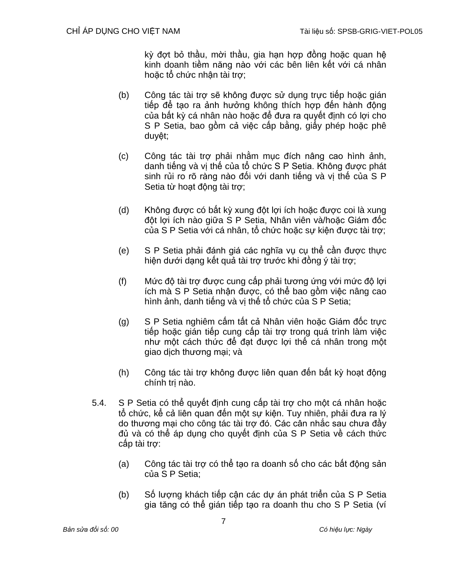kỳ đợt bỏ thầu, mời thầu, gia hạn hợp đồng hoặc quan hệ kinh doanh tiềm năng nào với các bên liên kết với cá nhân hoặc tổ chức nhận tài trợ;

- (b) Công tác tài trợ sẽ không được sử dụng trực tiếp hoặc gián tiếp để tạo ra ảnh hưởng không thích hợp đến hành động của bất kỳ cá nhân nào hoặc để đưa ra quyết định có lợi cho S P Setia, bao gồm cả việc cấp bằng, giấy phép hoặc phê duyệt;
- (c) Công tác tài trợ phải nhằm mục đích nâng cao hình ảnh, danh tiếng và vị thế của tổ chức S P Setia. Không được phát sinh rủi ro rõ ràng nào đối với danh tiếng và vị thế của S P Setia từ hoạt động tài trợ;
- (d) Không được có bất kỳ xung đột lợi ích hoặc được coi là xung đột lợi ích nào giữa S P Setia, Nhân viên và/hoặc Giám đốc của S P Setia với cá nhân, tổ chức hoặc sự kiện được tài trợ;
- (e) S P Setia phải đánh giá các nghĩa vụ cụ thể cần được thực hiện dưới dạng kết quả tài trợ trước khi đồng ý tài trợ;
- (f) Mức độ tài trợ được cung cấp phải tương ứng với mức độ lợi ích mà S P Setia nhận được, có thể bao gồm việc nâng cao hình ảnh, danh tiếng và vị thế tổ chức của S P Setia;
- (g) S P Setia nghiêm cấm tất cả Nhân viên hoặc Giám đốc trực tiếp hoặc gián tiếp cung cấp tài trợ trong quá trình làm việc như một cách thức để đạt được lợi thế cá nhân trong một giao dịch thương mại; và
- (h) Công tác tài trợ không được liên quan đến bất kỳ hoạt động chính trị nào.
- 5.4. S P Setia có thể quyết định cung cấp tài trợ cho một cá nhân hoặc tổ chức, kể cả liên quan đến một sự kiện. Tuy nhiên, phải đưa ra lý do thương mại cho công tác tài trợ đó. Các cân nhắc sau chưa đầy đủ và có thể áp dụng cho quyết định của S P Setia về cách thức cấp tài trợ:
	- (a) Công tác tài trợ có thể tạo ra doanh số cho các bất động sản của S P Setia;
	- (b) Số lượng khách tiếp cận các dự án phát triển của S P Setia gia tăng có thể gián tiếp tạo ra doanh thu cho S P Setia (ví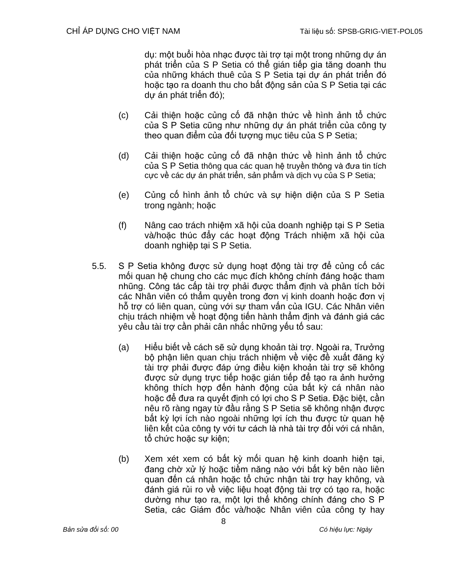dụ: một buổi hòa nhạc được tài trợ tại một trong những dự án phát triển của S P Setia có thể gián tiếp gia tăng doanh thu của những khách thuê của S P Setia tại dự án phát triển đó hoặc tạo ra doanh thu cho bất động sản của S P Setia tại các dự án phát triển đó);

- (c) Cải thiện hoặc củng cố đã nhận thức về hình ảnh tổ chức của S P Setia cũng như những dự án phát triển của công ty theo quan điểm của đối tượng mục tiêu của S P Setia;
- (d) Cải thiện hoặc củng cố đã nhận thức về hình ảnh tổ chức của S P Setia thông qua các quan hệ truyền thông và đưa tin tích cực về các dự án phát triển, sản phẩm và dịch vụ của S P Setia;
- (e) Củng cố hình ảnh tổ chức và sự hiện diện của S P Setia trong ngành; hoặc
- (f) Nâng cao trách nhiệm xã hội của doanh nghiệp tại S P Setia và/hoặc thúc đẩy các hoạt đông Trách nhiệm xã hội của doanh nghiệp tại S P Setia.
- 5.5. S P Setia không được sử dụng hoạt động tài trợ để củng cố các mối quan hệ chung cho các mục đích không chính đáng hoặc tham nhũng. Công tác cấp tài trợ phải được thẩm định và phân tích bởi các Nhân viên có thẩm quyền trong đơn vị kinh doanh hoặc đơn vị hỗ trợ có liên quan, cùng với sự tham vấn của IGU. Các Nhân viên chịu trách nhiệm về hoạt động tiến hành thẩm định và đánh giá các yêu cầu tài trợ cần phải cân nhắc những yếu tố sau:
	- (a) Hiểu biết về cách sẽ sử dụng khoản tài trợ. Ngoài ra, Trưởng bộ phận liên quan chịu trách nhiệm về việc đề xuất đăng ký tài trợ phải được đáp ứng điều kiện khoản tài trợ sẽ không được sử dụng trực tiếp hoặc gián tiếp để tạo ra ảnh hưởng không thích hợp đến hành động của bất kỳ cá nhân nào hoặc để đưa ra quyết định có lợi cho S P Setia. Đặc biệt, cần nêu rõ ràng ngay từ đầu rằng S P Setia sẽ không nhận được bất kỳ lợi ích nào ngoài những lợi ích thu được từ quan hệ liên kết của công ty với tư cách là nhà tài trợ đối với cá nhân, tổ chức hoặc sư kiện;
	- (b) Xem xét xem có bất kỳ mối quan hệ kinh doanh hiện tại, đang chờ xử lý hoặc tiềm năng nào với bất kỳ bên nào liên quan đến cá nhân hoặc tổ chức nhận tài trợ hay không, và đánh giá rủi ro về việc liệu hoạt động tài trợ có tạo ra, hoặc dường như tạo ra, một lợi thế không chính đáng cho S P Setia, các Giám đốc và/hoặc Nhân viên của công ty hay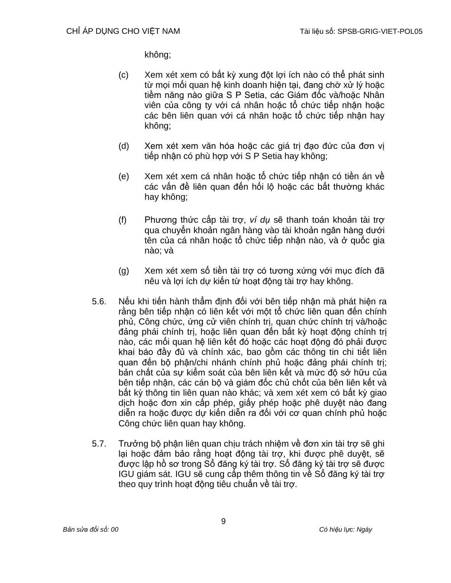không;

- (c) Xem xét xem có bất kỳ xung đột lợi ích nào có thể phát sinh từ mọi mối quan hệ kinh doanh hiện tại, đang chờ xử lý hoặc tiềm năng nào giữa S P Setia, các Giám đốc và/hoặc Nhân viên của công ty với cá nhân hoặc tổ chức tiếp nhận hoặc các bên liên quan với cá nhân hoặc tổ chức tiếp nhận hay không;
- (d) Xem xét xem văn hóa hoặc các giá trị đạo đức của đơn vị tiếp nhận có phù hợp với S P Setia hay không;
- (e) Xem xét xem cá nhân hoặc tổ chức tiếp nhận có tiền án về các vấn đề liên quan đến hối lộ hoặc các bất thường khác hay không;
- (f) Phương thức cấp tài trợ, *ví dụ* sẽ thanh toán khoản tài trợ qua chuyển khoản ngân hàng vào tài khoản ngân hàng dưới tên của cá nhân hoặc tổ chức tiếp nhận nào, và ở quốc gia nào; và
- (g) Xem xét xem số tiền tài trợ có tương xứng với mục đích đã nêu và lợi ích dự kiến từ hoạt động tài trợ hay không.
- 5.6. Nếu khi tiến hành thẩm định đối với bên tiếp nhận mà phát hiện ra rằng bên tiếp nhận có liên kết với một tổ chức liên quan đến chính phủ, Công chức, ứng cử viên chính trị, quan chức chính trị và/hoặc đảng phái chính trị, hoặc liên quan đến bất kỳ hoạt động chính trị nào, các mối quan hệ liên kết đó hoặc các hoạt động đó phải được khai báo đầy đủ và chính xác, bao gồm các thông tin chi tiết liên quan đến bộ phận/chi nhánh chính phủ hoặc đảng phái chính trị; bản chất của sự kiểm soát của bên liên kết và mức độ sở hữu của bên tiếp nhận, các cán bộ và giám đốc chủ chốt của bên liên kết và bất kỳ thông tin liên quan nào khác; và xem xét xem có bất kỳ giao dịch hoặc đơn xin cấp phép, giấy phép hoặc phê duyệt nào đang diễn ra hoặc được dự kiến diễn ra đối với cơ quan chính phủ hoặc Công chức liên quan hay không.
- 5.7. Trưởng bộ phận liên quan chịu trách nhiệm về đơn xin tài trợ sẽ ghi lại hoặc đảm bảo rằng hoạt động tài trợ, khi được phê duyệt, sẽ được lập hồ sơ trong Sổ đăng ký tài trợ. Sổ đăng ký tài trợ sẽ được IGU giám sát. IGU sẽ cung cấp thêm thông tin về Sổ đăng ký tài trợ theo quy trình hoạt động tiêu chuẩn về tài trợ.